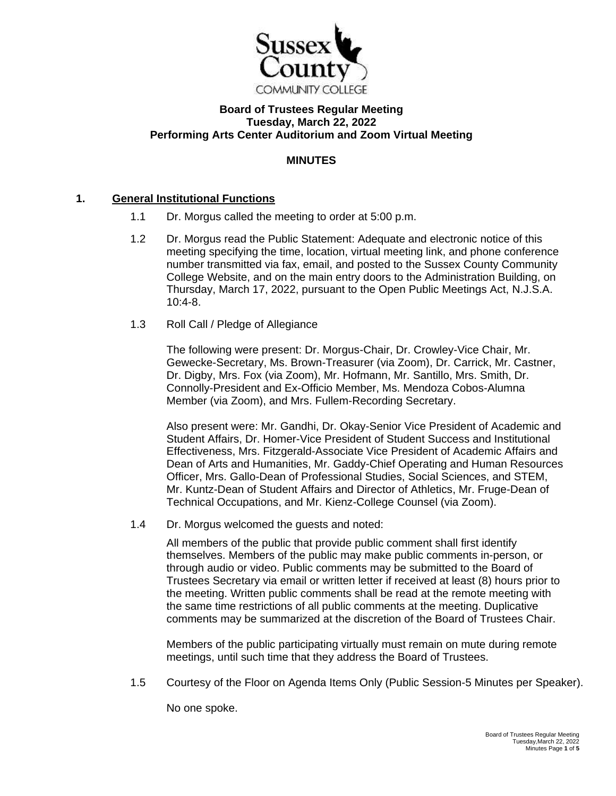

# **Board of Trustees Regular Meeting Tuesday, March 22, 2022 Performing Arts Center Auditorium and Zoom Virtual Meeting**

# **MINUTES**

# **1. General Institutional Functions**

- 1.1 Dr. Morgus called the meeting to order at 5:00 p.m.
- 1.2 Dr. Morgus read the Public Statement: Adequate and electronic notice of this meeting specifying the time, location, virtual meeting link, and phone conference number transmitted via fax, email, and posted to the Sussex County Community College Website, and on the main entry doors to the Administration Building, on Thursday, March 17, 2022, pursuant to the Open Public Meetings Act, N.J.S.A. 10:4-8.
- 1.3 Roll Call / Pledge of Allegiance

The following were present: Dr. Morgus-Chair, Dr. Crowley-Vice Chair, Mr. Gewecke-Secretary, Ms. Brown-Treasurer (via Zoom), Dr. Carrick, Mr. Castner, Dr. Digby, Mrs. Fox (via Zoom), Mr. Hofmann, Mr. Santillo, Mrs. Smith, Dr. Connolly-President and Ex-Officio Member, Ms. Mendoza Cobos-Alumna Member (via Zoom), and Mrs. Fullem-Recording Secretary.

Also present were: Mr. Gandhi, Dr. Okay-Senior Vice President of Academic and Student Affairs, Dr. Homer-Vice President of Student Success and Institutional Effectiveness, Mrs. Fitzgerald-Associate Vice President of Academic Affairs and Dean of Arts and Humanities, Mr. Gaddy-Chief Operating and Human Resources Officer, Mrs. Gallo-Dean of Professional Studies, Social Sciences, and STEM, Mr. Kuntz-Dean of Student Affairs and Director of Athletics, Mr. Fruge-Dean of Technical Occupations, and Mr. Kienz-College Counsel (via Zoom).

1.4 Dr. Morgus welcomed the guests and noted:

All members of the public that provide public comment shall first identify themselves. Members of the public may make public comments in-person, or through audio or video. Public comments may be submitted to the Board of Trustees Secretary via email or written letter if received at least (8) hours prior to the meeting. Written public comments shall be read at the remote meeting with the same time restrictions of all public comments at the meeting. Duplicative comments may be summarized at the discretion of the Board of Trustees Chair.

Members of the public participating virtually must remain on mute during remote meetings, until such time that they address the Board of Trustees.

1.5 Courtesy of the Floor on Agenda Items Only (Public Session-5 Minutes per Speaker).

No one spoke.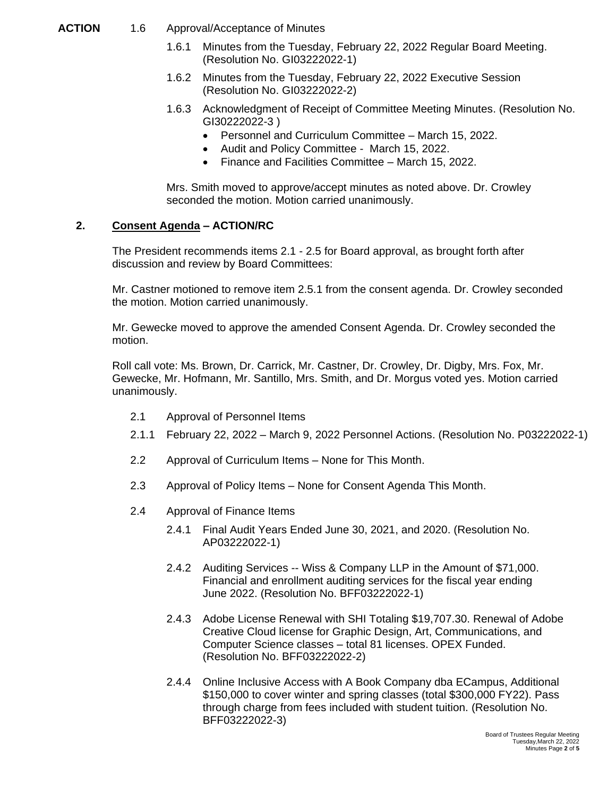- **ACTION** 1.6 Approval/Acceptance of Minutes
	- 1.6.1 Minutes from the Tuesday, February 22, 2022 Regular Board Meeting. (Resolution No. GI03222022-1)
	- 1.6.2 Minutes from the Tuesday, February 22, 2022 Executive Session (Resolution No. GI03222022-2)
	- 1.6.3 Acknowledgment of Receipt of Committee Meeting Minutes. (Resolution No. GI30222022-3 )
		- Personnel and Curriculum Committee March 15, 2022.
		- Audit and Policy Committee March 15, 2022.
		- Finance and Facilities Committee March 15, 2022.

Mrs. Smith moved to approve/accept minutes as noted above. Dr. Crowley seconded the motion. Motion carried unanimously.

### **2. Consent Agenda – ACTION/RC**

The President recommends items 2.1 - 2.5 for Board approval, as brought forth after discussion and review by Board Committees:

Mr. Castner motioned to remove item 2.5.1 from the consent agenda. Dr. Crowley seconded the motion. Motion carried unanimously.

Mr. Gewecke moved to approve the amended Consent Agenda. Dr. Crowley seconded the motion.

Roll call vote: Ms. Brown, Dr. Carrick, Mr. Castner, Dr. Crowley, Dr. Digby, Mrs. Fox, Mr. Gewecke, Mr. Hofmann, Mr. Santillo, Mrs. Smith, and Dr. Morgus voted yes. Motion carried unanimously.

- 2.1 Approval of Personnel Items
- 2.1.1 February 22, 2022 March 9, 2022 Personnel Actions. (Resolution No. P03222022-1)
- 2.2 Approval of Curriculum Items None for This Month.
- 2.3 Approval of Policy Items None for Consent Agenda This Month.
- 2.4 Approval of Finance Items
	- 2.4.1 Final Audit Years Ended June 30, 2021, and 2020. (Resolution No. AP03222022-1)
	- 2.4.2 Auditing Services -- Wiss & Company LLP in the Amount of \$71,000. Financial and enrollment auditing services for the fiscal year ending June 2022. (Resolution No. BFF03222022-1)
	- 2.4.3 Adobe License Renewal with SHI Totaling \$19,707.30. Renewal of Adobe Creative Cloud license for Graphic Design, Art, Communications, and Computer Science classes – total 81 licenses. OPEX Funded. (Resolution No. BFF03222022-2)
	- 2.4.4 Online Inclusive Access with A Book Company dba ECampus, Additional \$150,000 to cover winter and spring classes (total \$300,000 FY22). Pass through charge from fees included with student tuition. (Resolution No. BFF03222022-3)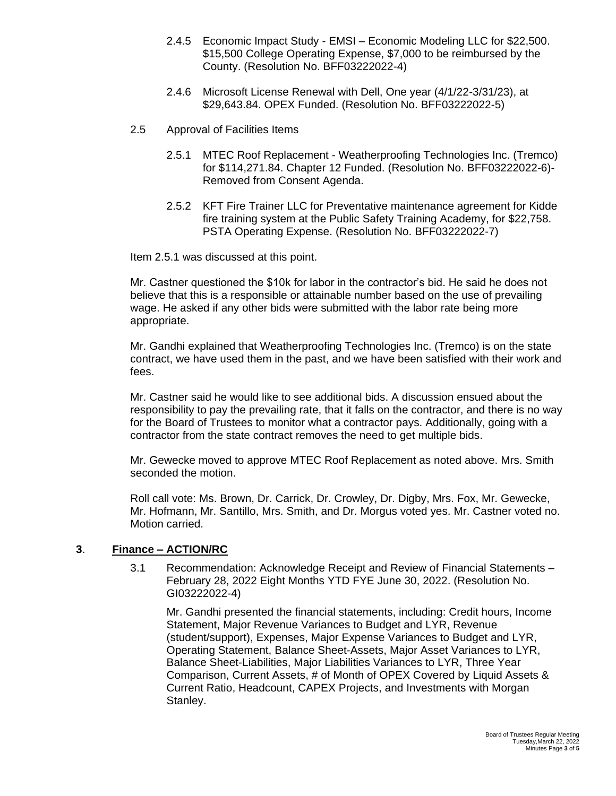- 2.4.5 Economic Impact Study EMSI Economic Modeling LLC for \$22,500. \$15,500 College Operating Expense, \$7,000 to be reimbursed by the County. (Resolution No. BFF03222022-4)
- 2.4.6 Microsoft License Renewal with Dell, One year (4/1/22-3/31/23), at \$29,643.84. OPEX Funded. (Resolution No. BFF03222022-5)
- 2.5 Approval of Facilities Items
	- 2.5.1 MTEC Roof Replacement Weatherproofing Technologies Inc. (Tremco) for \$114,271.84. Chapter 12 Funded. (Resolution No. BFF03222022-6)- Removed from Consent Agenda.
	- 2.5.2 KFT Fire Trainer LLC for Preventative maintenance agreement for Kidde fire training system at the Public Safety Training Academy, for \$22,758. PSTA Operating Expense. (Resolution No. BFF03222022-7)

Item 2.5.1 was discussed at this point.

Mr. Castner questioned the \$10k for labor in the contractor's bid. He said he does not believe that this is a responsible or attainable number based on the use of prevailing wage. He asked if any other bids were submitted with the labor rate being more appropriate.

Mr. Gandhi explained that Weatherproofing Technologies Inc. (Tremco) is on the state contract, we have used them in the past, and we have been satisfied with their work and fees.

Mr. Castner said he would like to see additional bids. A discussion ensued about the responsibility to pay the prevailing rate, that it falls on the contractor, and there is no way for the Board of Trustees to monitor what a contractor pays. Additionally, going with a contractor from the state contract removes the need to get multiple bids.

Mr. Gewecke moved to approve MTEC Roof Replacement as noted above. Mrs. Smith seconded the motion.

Roll call vote: Ms. Brown, Dr. Carrick, Dr. Crowley, Dr. Digby, Mrs. Fox, Mr. Gewecke, Mr. Hofmann, Mr. Santillo, Mrs. Smith, and Dr. Morgus voted yes. Mr. Castner voted no. Motion carried.

#### **3**. **Finance – ACTION/RC**

3.1 Recommendation: Acknowledge Receipt and Review of Financial Statements – February 28, 2022 Eight Months YTD FYE June 30, 2022. (Resolution No. GI03222022-4)

Mr. Gandhi presented the financial statements, including: Credit hours, Income Statement, Major Revenue Variances to Budget and LYR, Revenue (student/support), Expenses, Major Expense Variances to Budget and LYR, Operating Statement, Balance Sheet-Assets, Major Asset Variances to LYR, Balance Sheet-Liabilities, Major Liabilities Variances to LYR, Three Year Comparison, Current Assets, # of Month of OPEX Covered by Liquid Assets & Current Ratio, Headcount, CAPEX Projects, and Investments with Morgan Stanley.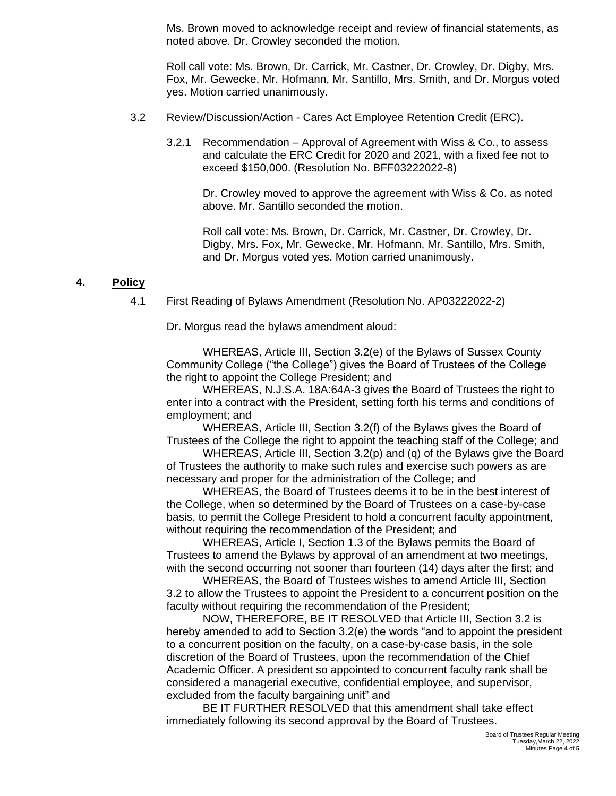Ms. Brown moved to acknowledge receipt and review of financial statements, as noted above. Dr. Crowley seconded the motion.

Roll call vote: Ms. Brown, Dr. Carrick, Mr. Castner, Dr. Crowley, Dr. Digby, Mrs. Fox, Mr. Gewecke, Mr. Hofmann, Mr. Santillo, Mrs. Smith, and Dr. Morgus voted yes. Motion carried unanimously.

- 3.2 Review/Discussion/Action Cares Act Employee Retention Credit (ERC).
	- 3.2.1 Recommendation Approval of Agreement with Wiss & Co., to assess and calculate the ERC Credit for 2020 and 2021, with a fixed fee not to exceed \$150,000. (Resolution No. BFF03222022-8)

Dr. Crowley moved to approve the agreement with Wiss & Co. as noted above. Mr. Santillo seconded the motion.

Roll call vote: Ms. Brown, Dr. Carrick, Mr. Castner, Dr. Crowley, Dr. Digby, Mrs. Fox, Mr. Gewecke, Mr. Hofmann, Mr. Santillo, Mrs. Smith, and Dr. Morgus voted yes. Motion carried unanimously.

### **4. Policy**

4.1 First Reading of Bylaws Amendment (Resolution No. AP03222022-2)

Dr. Morgus read the bylaws amendment aloud:

WHEREAS, Article III, Section 3.2(e) of the Bylaws of Sussex County Community College ("the College") gives the Board of Trustees of the College the right to appoint the College President; and

WHEREAS, N.J.S.A. 18A:64A-3 gives the Board of Trustees the right to enter into a contract with the President, setting forth his terms and conditions of employment; and

WHEREAS, Article III, Section 3.2(f) of the Bylaws gives the Board of Trustees of the College the right to appoint the teaching staff of the College; and

WHEREAS, Article III, Section 3.2(p) and (q) of the Bylaws give the Board of Trustees the authority to make such rules and exercise such powers as are necessary and proper for the administration of the College; and

WHEREAS, the Board of Trustees deems it to be in the best interest of the College, when so determined by the Board of Trustees on a case-by-case basis, to permit the College President to hold a concurrent faculty appointment, without requiring the recommendation of the President; and

WHEREAS, Article I, Section 1.3 of the Bylaws permits the Board of Trustees to amend the Bylaws by approval of an amendment at two meetings, with the second occurring not sooner than fourteen (14) days after the first; and

WHEREAS, the Board of Trustees wishes to amend Article III, Section 3.2 to allow the Trustees to appoint the President to a concurrent position on the faculty without requiring the recommendation of the President;

NOW, THEREFORE, BE IT RESOLVED that Article III, Section 3.2 is hereby amended to add to Section 3.2(e) the words "and to appoint the president to a concurrent position on the faculty, on a case-by-case basis, in the sole discretion of the Board of Trustees, upon the recommendation of the Chief Academic Officer. A president so appointed to concurrent faculty rank shall be considered a managerial executive, confidential employee, and supervisor, excluded from the faculty bargaining unit" and

BE IT FURTHER RESOLVED that this amendment shall take effect immediately following its second approval by the Board of Trustees.